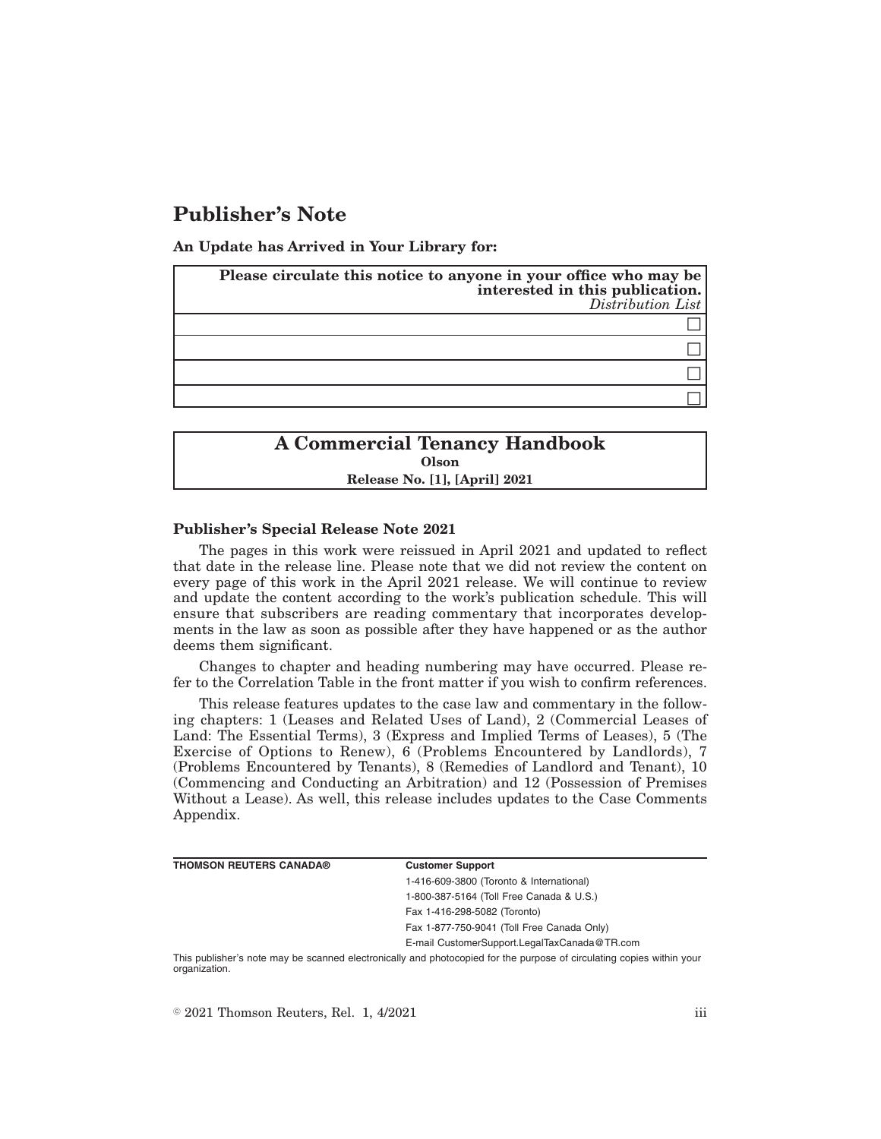# **Publisher's Note**

**An Update has Arrived in Your Library for:**

| Please circulate this notice to anyone in your office who may be<br>interested in this publication.<br>Distribution List |
|--------------------------------------------------------------------------------------------------------------------------|
|                                                                                                                          |
|                                                                                                                          |
|                                                                                                                          |
|                                                                                                                          |

# **A Commercial Tenancy Handbook Olson Release No. [1], [April] 2021**

#### **Publisher's Special Release Note 2021**

The pages in this work were reissued in April 2021 and updated to reflect that date in the release line. Please note that we did not review the content on every page of this work in the April 2021 release. We will continue to review and update the content according to the work's publication schedule. This will ensure that subscribers are reading commentary that incorporates developments in the law as soon as possible after they have happened or as the author deems them significant.

Changes to chapter and heading numbering may have occurred. Please refer to the Correlation Table in the front matter if you wish to confirm references.

This release features updates to the case law and commentary in the following chapters: 1 (Leases and Related Uses of Land), 2 (Commercial Leases of Land: The Essential Terms), 3 (Express and Implied Terms of Leases), 5 (The Exercise of Options to Renew), 6 (Problems Encountered by Landlords), 7 (Problems Encountered by Tenants), 8 (Remedies of Landlord and Tenant), 10 (Commencing and Conducting an Arbitration) and 12 (Possession of Premises Without a Lease). As well, this release includes updates to the Case Comments Appendix.

| <b>THOMSON REUTERS CANADA®</b> | <b>Customer Support</b>                      |
|--------------------------------|----------------------------------------------|
|                                | 1-416-609-3800 (Toronto & International)     |
|                                | 1-800-387-5164 (Toll Free Canada & U.S.)     |
|                                | Fax 1-416-298-5082 (Toronto)                 |
|                                | Fax 1-877-750-9041 (Toll Free Canada Only)   |
|                                | E-mail CustomerSupport.LegalTaxCanada@TR.com |
|                                |                                              |

This publisher's note may be scanned electronically and photocopied for the purpose of circulating copies within your organization.

 $\degree$  2021 Thomson Reuters, Rel. 1, 4/2021 iii